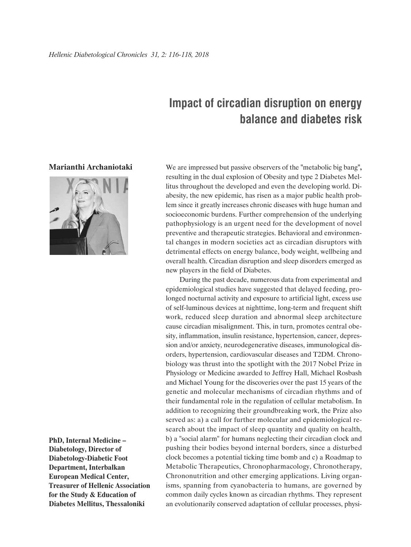## **Impact of circadian disruption on energy balance and diabetes risk**

## **Marianthi Archaniotaki**



**PhD, Internal Medicine – Diabetology, Director of Diabetology-Diabetic Foot Department, Interbalkan European Medical Center, Treasurer of Hellenic Association for the Study & Education of Diabetes Mellitus, Thessaloniki**

We are impressed but passive observers of the **"**metabolic big bang**",** resulting in the dual explosion of Obesity and type 2 Diabetes Mellitus throughout the developed and even the developing world. Diabesity, the new epidemic, has risen as a major public health problem since it greatly increases chronic diseases with huge human and socioeconomic burdens. Further comprehension of the underlying pathophysiology is an urgent need for the development of novel preventive and therapeutic strategies. Βehavioral and environmental changes in modern societies act as circadian disruptors with detrimental effects on energy balance, body weight, wellbeing and overall health. Circadian disruption and sleep disorders emerged as new players in the field of Diabetes.

During the past decade, numerous data from experimental and epidemiological studies have suggested that delayed feeding, prolonged nocturnal activity and exposure to artificial light, excess use of self-luminous devices at nighttime, long-term and frequent shift work, reduced sleep duration and abnormal sleep architecture cause circadian misalignment. This, in turn, promotes central obesity, inflammation, insulin resistance, hypertension, cancer, depression and/or anxiety, neurodegenerative diseases, immunological disorders, hypertension, cardiovascular diseases and T2DM. Chronobiology was thrust into the spotlight with the 2017 Nobel Prize in Physiology or Medicine awarded to Jeffrey Hall, Michael Rosbash and Michael Young for the discoveries over the past 15 years of the genetic and molecular mechanisms of circadian rhythms and of their fundamental role in the regulation of cellular metabolism. In addition to recognizing their groundbreaking work, the Prize also served as: a) a call for further molecular and epidemiological research about the impact of sleep quantity and quality on health, b) a "social alarm" for humans neglecting their circadian clock and pushing their bodies beyond internal borders, since a disturbed clock becomes a potential ticking time bomb and c) a Roadmap to Metabolic Therapeutics, Chronopharmacology, Chronotherapy, Chrononutrition and other emerging applications. Living organisms, spanning from cyanobacteria to humans, are governed by common daily cycles known as circadian rhythms. They represent an evolutionarily conserved adaptation of cellular processes, physi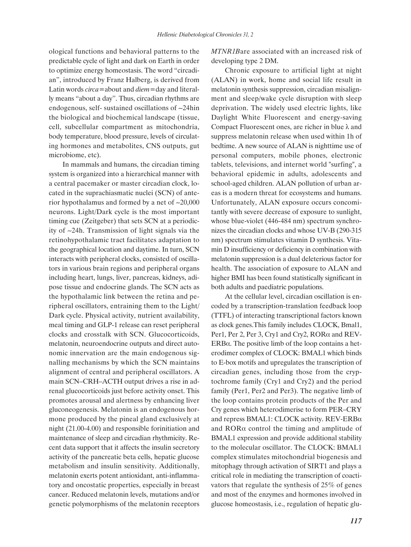ological functions and behavioral patterns to the predictable cycle of light and dark on Earth in order to optimize energy homeostasis. The word "circadian", introduced by Franz Halberg, is derived from Latin words *circa=*about and *diem*=day and literally means "about a day". Thus, circadian rhythms are endogenous, self- sustained oscillations of ~24hin the biological and biochemical landscape (tissue, cell, subcellular compartment as mitochondria, body temperature, blood pressure, levels of circulating hormones and metabolites, CNS outputs, gut microbiome, etc).

In mammals and humans, the circadian timing system is organized into a hierarchical manner with a central pacemaker or master circadian clock, located in the suprachiasmatic nuclei (SCN) of anterior hypothalamus and formed by a net of  $\sim$ 20,000 neurons. Light/Dark cycle is the most important timing cue (Zeitgeber) that sets SCN at a periodicity of ~24h. Transmission of light signals via the retinohypothalamic tract facilitates adaptation to the geographical location and daytime. In turn, SCN interacts with peripheral clocks, consisted of oscillators in various brain regions and peripheral organs including heart, lungs, liver, pancreas, kidneys, adipose tissue and endocrine glands. The SCN acts as the hypothalamic link between the retina and peripheral oscillators, entraining them to the Light/ Dark cycle. Physical activity, nutrient availability, meal timing and GLP-1 release can reset peripheral clocks and crosstalk with SCN. Glucocorticoids, melatonin, neuroendocrine outputs and direct autonomic innervation are the main endogenous signalling mechanisms by which the SCN maintains alignment of central and peripheral oscillators. A main SCN–CRH–ACTH output drives a rise in adrenal glucocorticoids just before activity onset. This promotes arousal and alertness by enhancing liver gluconeogenesis. Melatonin is an endogenous hormone produced by the pineal gland exclusively at night (21.00-4.00) and responsible forinitiation and maintenance of sleep and circadian rhythmicity. Recent data support that it affects the insulin secretory activity of the pancreatic beta cells, hepatic glucose metabolism and insulin sensitivity. Additionally, melatonin exerts potent antioxidant, anti-inflammatory and oncostatic properties, especially in breast cancer. Reduced melatonin levels, mutations and/or genetic polymorphisms of the melatonin receptors *MTNR1B*are associated with an increased risk of developing type 2 DM.

Chronic exposure to artificial light at night (ALAN) in work, home and social life result in melatonin synthesis suppression, circadian misalignment and sleep/wake cycle disruption with sleep deprivation. The widely used electric lights, like Daylight White Fluorescent and energy-saving Compact Fluorescent ones, are richer in blue  $\lambda$  and suppress melatonin release when used within 1h of bedtime. A new source of ALAN is nighttime use of personal computers, mobile phones, electronic tablets, televisions, and internet world "surfing", a behavioral epidemic in adults, adolescents and school-aged children. ALAN pollution of urban areas is a modern threat for ecosystems and humans. Unfortunately, ALAN exposure occurs concomitantly with severe decrease of exposure to sunlight, whose blue-violet (446-484 nm) spectrum synchronizes the circadian clocks and whose UV-B (290-315 nm) spectrum stimulates vitamin D synthesis. Vitamin D insufficiency or deficiency in combination with melatonin suppression is a dual deleterious factor for health. The association of exposure to ALAN and higher BMI has been found statistically significant in both adults and paediatric populations.

At the cellular level, circadian oscillation is encoded by a transcription-translation feedback loop (TTFL) of interacting transcriptional factors known as clock genes.This family includes CLOCK, Bmal1, Per1, Per 2, Per 3, Cry1 and Cry2, RORα and REV-ERBα. The positive limb of the loop contains a heterodimer complex of CLOCK: BMAL1 which binds to E-box motifs and upregulates the transcription of circadian genes, including those from the cryptochrome family (Cry1 and Cry2) and the period family (Per1, Per2 and Per3). The negative limb of the loop contains protein products of the Per and Cry genes which heterodimerise to form PER–CRY and repress BMAL1: CLOCK activity. REV-ERBα and RORα control the timing and amplitude of BMAL1 expression and provide additional stability to the molecular oscillator. The CLOCK: BMAL1 complex stimulates mitochondrial biogenesis and mitophagy through activation of SIRT1 and plays a critical role in mediating the transcription of coactivators that regulate the synthesis of 25% of genes and most of the enzymes and hormones involved in glucose homeostasis, i.e., regulation of hepatic glu-